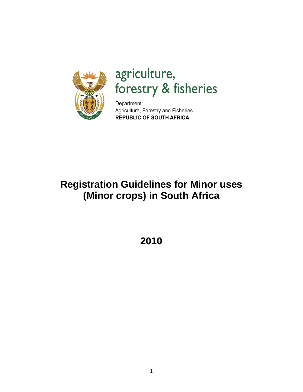

agriculture, forestry & fisheries

Department: Agriculture, Forestry and Fisheries **REPUBLIC OF SOUTH AFRICA** 

# **Registration Guidelines for Minor uses (Minor crops) in South Africa**

**2010**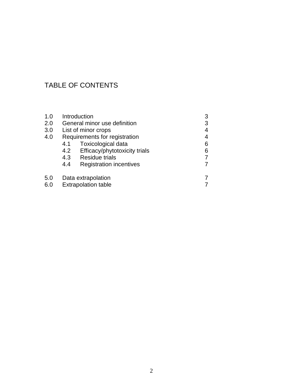## TABLE OF CONTENTS

| 1.0 |                               | Introduction                   | 3 |
|-----|-------------------------------|--------------------------------|---|
| 2.0 |                               | General minor use definition   | 3 |
| 3.0 |                               | List of minor crops            | 4 |
| 4.0 | Requirements for registration |                                | 4 |
|     | 4.1                           | <b>Toxicological data</b>      | 6 |
|     | 4.2                           | Efficacy/phytotoxicity trials  | 6 |
|     | 4.3                           | <b>Residue trials</b>          |   |
|     | 4.4                           | <b>Registration incentives</b> |   |
| 5.0 |                               | Data extrapolation             |   |
| 6.0 | <b>Extrapolation table</b>    |                                |   |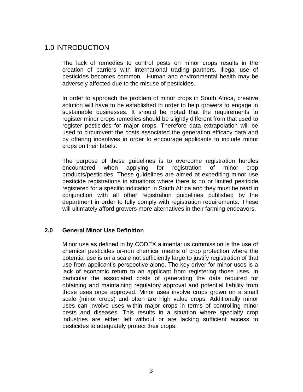### 1.0 INTRODUCTION

The lack of remedies to control pests on minor crops results in the creation of barriers with international trading partners. Illegal use of pesticides becomes common. Human and environmental health may be adversely affected due to the misuse of pesticides.

In order to approach the problem of minor crops in South Africa, creative solution will have to be established in order to help growers to engage in sustainable businesses. It should be noted that the requirements to register minor crops remedies should be slightly different from that used to register pesticides for major crops. Therefore data extrapolation will be used to circumvent the costs associated the generation efficacy data and by offering incentives in order to encourage applicants to include minor crops on their labels.

The purpose of these guidelines is to overcome registration hurdles encountered when applying for registration of minor crop products/pesticides. These guidelines are aimed at expediting minor use pesticide registrations in situations where there is no or limited pesticide registered for a specific indication in South Africa and they must be read in conjunction with all other registration guidelines published by the department in order to fully comply with registration requirements. These will ultimately afford growers more alternatives in their farming endeavors.

#### **2.0 General Minor Use Definition**

Minor use as defined in by CODEX alimentarius commission is the use of chemical pesticides or-non chemical means of crop protection where the potential use is on a scale not sufficiently large to justify registration of that use from applicant's perspective alone. The key driver for minor uses is a lack of economic return to an applicant from registering those uses, in particular the associated costs of generating the data required for obtaining and maintaining regulatory approval and potential liability from those uses once approved. Minor uses involve crops grown on a small scale (minor crops) and often are high value crops. Additionally minor uses can involve uses within major crops in terms of controlling minor pests and diseases. This results in a situation where specialty crop industries are either left without or are lacking sufficient access to pesticides to adequately protect their crops.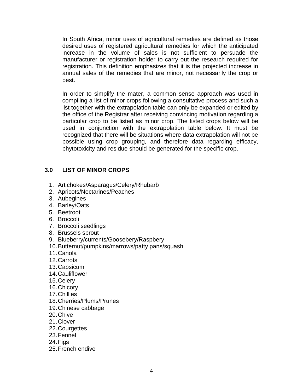In South Africa, minor uses of agricultural remedies are defined as those desired uses of registered agricultural remedies for which the anticipated increase in the volume of sales is not sufficient to persuade the manufacturer or registration holder to carry out the research required for registration. This definition emphasizes that it is the projected increase in annual sales of the remedies that are minor, not necessarily the crop or pest.

In order to simplify the mater, a common sense approach was used in compiling a list of minor crops following a consultative process and such a list together with the extrapolation table can only be expanded or edited by the office of the Registrar after receiving convincing motivation regarding a particular crop to be listed as minor crop. The listed crops below will be used in conjunction with the extrapolation table below. It must be recognized that there will be situations where data extrapolation will not be possible using crop grouping, and therefore data regarding efficacy, phytotoxicity and residue should be generated for the specific crop.

#### **3.0 LIST OF MINOR CROPS**

- 1. Artichokes/Asparagus/Celery/Rhubarb
- 2. Apricots/Nectarines/Peaches
- 3. Aubegines
- 4. Barley/Oats
- 5. Beetroot
- 6. Broccoli
- 7. Broccoli seedlings
- 8. Brussels sprout
- 9. Blueberry/currents/Goosebery/Raspbery
- 10.Butternut/pumpkins/marrows/patty pans/squash
- 11.Canola
- 12.Carrots
- 13.Capsicum
- 14.Cauliflower
- 15.Celery
- 16.Chicory
- 17.Chillies
- 18.Cherries/Plums/Prunes
- 19.Chinese cabbage
- 20.Chive
- 21.Clover
- 22.Courgettes
- 23.Fennel
- 24.Figs
- 25.French endive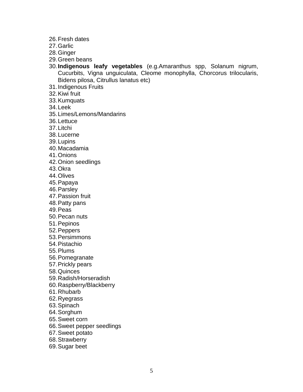- 26.Fresh dates
- 27.Garlic
- 28.Ginger
- 29.Green beans
- 30.**Indigenous leafy vegetables** (e.g.Amaranthus spp, Solanum nigrum, Cucurbits, Vigna unguiculata, Cleome monophylla, Chorcorus trilocularis, Bidens pilosa, Citrullus lanatus etc)
- 31.Indigenous Fruits
- 32.Kiwi fruit
- 33.Kumquats
- 34.Leek
- 35.Limes/Lemons/Mandarins
- 36.Lettuce
- 37.Litchi
- 38.Lucerne
- 39.Lupins
- 40.Macadamia
- 41.Onions
- 42.Onion seedlings
- 43.Okra
- 44.Olives
- 45.Papaya
- 46.Parsley
- 47.Passion fruit
- 48.Patty pans
- 49.Peas
- 50.Pecan nuts
- 51.Pepinos
- 52.Peppers
- 53.Persimmons
- 54.Pistachio
- 55.Plums
- 56.Pomegranate
- 57.Prickly pears
- 58.Quinces
- 59.Radish/Horseradish
- 60.Raspberry/Blackberry
- 61.Rhubarb
- 62.Ryegrass
- 63.Spinach
- 64.Sorghum
- 65.Sweet corn
- 66.Sweet pepper seedlings
- 67.Sweet potato
- 68.Strawberry
- 69.Sugar beet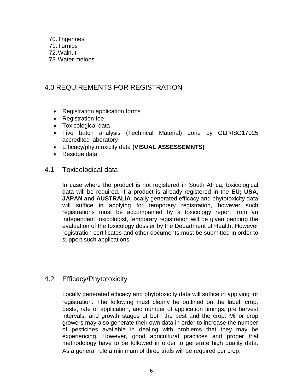70.Tngerines 71.Turnips

- 72.Walnut
- 73.Water melons

### 4.0 REQUIREMENTS FOR REGISTRATION

- Registration application forms
- Registration fee
- Toxicological data
- Five batch analysis (Technical Material) done by GLP/ISO17025 accredited laboratory
- Efficacy/phytotoxicity data **(VISUAL ASSESSEMNTS)**
- Residue data

#### 4.1 Toxicological data

In case where the product is not registered in South Africa, toxicological data will be required. If a product is already registered in the **EU; USA, JAPAN and AUSTRALIA** locally generated efficacy and phytotoxicity data will suffice in applying for temporary registration, however such registrations must be accompanied by a toxicology report from an independent toxicologist, temporary registration will be given pending the evaluation of the toxicology dossier by the Department of Health. However registration certificates and other documents must be submitted in order to support such applications.

#### 4.2 Efficacy/Phytotoxicity

Locally generated efficacy and phytotoxicity data will suffice in applying for registration. The following must clearly be outlined on the label, crop, pests, rate of application, and number of application timings, pre harvest intervals, and growth stages of both the pest and the crop. Minor crop growers may also generate their own data in order to increase the number of pesticides available in dealing with problems that they may be experiencing. However, good agricultural practices and proper trial methodology have to be followed in order to generate high quality data. As a general rule a minimum of three trials will be required per crop.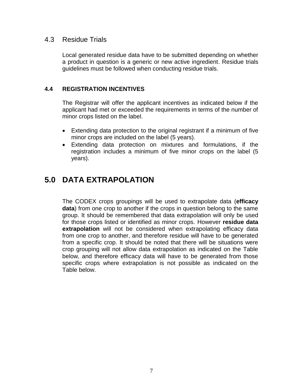#### 4.3 Residue Trials

Local generated residue data have to be submitted depending on whether a product in question is a generic or new active ingredient. Residue trials guidelines must be followed when conducting residue trials.

#### **4.4 REGISTRATION INCENTIVES**

The Registrar will offer the applicant incentives as indicated below if the applicant had met or exceeded the requirements in terms of the number of minor crops listed on the label.

- Extending data protection to the original registrant if a minimum of five minor crops are included on the label (5 years).
- Extending data protection on mixtures and formulations, if the registration includes a minimum of five minor crops on the label (5 years).

## **5.0 DATA EXTRAPOLATION**

The CODEX crops groupings will be used to extrapolate data (**efficacy data**) from one crop to another if the crops in question belong to the same group. It should be remembered that data extrapolation will only be used for those crops listed or identified as minor crops. However **residue data extrapolation** will not be considered when extrapolating efficacy data from one crop to another, and therefore residue will have to be generated from a specific crop. It should be noted that there will be situations were crop grouping will not allow data extrapolation as indicated on the Table below, and therefore efficacy data will have to be generated from those specific crops where extrapolation is not possible as indicated on the Table below.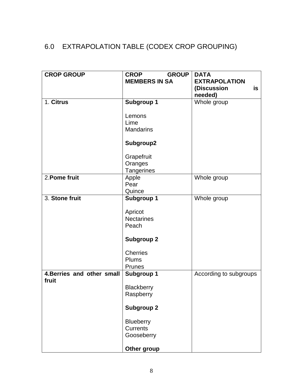# 6.0 EXTRAPOLATION TABLE (CODEX CROP GROUPING)

| <b>CROP GROUP</b>          | <b>CROP</b><br><b>GROUP</b> | <b>DATA</b>            |
|----------------------------|-----------------------------|------------------------|
|                            | <b>MEMBERS IN SA</b>        | <b>EXTRAPOLATION</b>   |
|                            |                             | (Discussion<br>is      |
|                            |                             | needed)                |
| 1. Citrus                  | <b>Subgroup 1</b>           | Whole group            |
|                            |                             |                        |
|                            | Lemons                      |                        |
|                            | Lime                        |                        |
|                            | <b>Mandarins</b>            |                        |
|                            |                             |                        |
|                            | Subgroup2                   |                        |
|                            | Grapefruit                  |                        |
|                            | Oranges                     |                        |
|                            | <b>Tangerines</b>           |                        |
| $2.$ Pome fruit            | Apple                       | Whole group            |
|                            | Pear                        |                        |
|                            | Quince                      |                        |
| 3. Stone fruit             | <b>Subgroup 1</b>           | Whole group            |
|                            |                             |                        |
|                            | Apricot                     |                        |
|                            | <b>Nectarines</b>           |                        |
|                            | Peach                       |                        |
|                            | <b>Subgroup 2</b>           |                        |
|                            |                             |                        |
|                            | <b>Cherries</b>             |                        |
|                            | Plums                       |                        |
|                            | Prunes                      |                        |
| 4. Berries and other small | <b>Subgroup 1</b>           | According to subgroups |
| fruit                      |                             |                        |
|                            | <b>Blackberry</b>           |                        |
|                            | Raspberry                   |                        |
|                            |                             |                        |
|                            | <b>Subgroup 2</b>           |                        |
|                            | <b>Blueberry</b>            |                        |
|                            | <b>Currents</b>             |                        |
|                            | Gooseberry                  |                        |
|                            |                             |                        |
|                            | Other group                 |                        |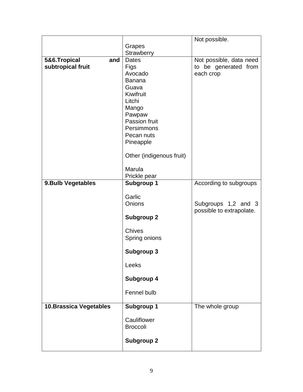|                                |                          | Not possible.            |
|--------------------------------|--------------------------|--------------------------|
|                                | Grapes                   |                          |
|                                | Strawberry               |                          |
| 5&6.Tropical<br>and            | <b>Dates</b>             | Not possible, data need  |
| subtropical fruit              | Figs                     | to be generated from     |
|                                | Avocado                  | each crop                |
|                                | <b>Banana</b>            |                          |
|                                | Guava                    |                          |
|                                | Kiwifruit                |                          |
|                                | Litchi                   |                          |
|                                | Mango                    |                          |
|                                | Pawpaw                   |                          |
|                                | Passion fruit            |                          |
|                                | Persimmons               |                          |
|                                | Pecan nuts               |                          |
|                                | Pineapple                |                          |
|                                | Other (indigenous fruit) |                          |
|                                |                          |                          |
|                                | Marula                   |                          |
|                                | Prickle pear             |                          |
| 9. Bulb Vegetables             | <b>Subgroup 1</b>        | According to subgroups   |
|                                |                          |                          |
|                                | Garlic                   |                          |
|                                | Onions                   | Subgroups 1,2 and 3      |
|                                | <b>Subgroup 2</b>        | possible to extrapolate. |
|                                |                          |                          |
|                                | <b>Chives</b>            |                          |
|                                | Spring onions            |                          |
|                                |                          |                          |
|                                | <b>Subgroup 3</b>        |                          |
|                                | Leeks                    |                          |
|                                | <b>Subgroup 4</b>        |                          |
|                                | Fennel bulb              |                          |
| <b>10. Brassica Vegetables</b> | Subgroup 1               | The whole group          |
|                                |                          |                          |
|                                | Cauliflower              |                          |
|                                | <b>Broccoli</b>          |                          |
|                                | <b>Subgroup 2</b>        |                          |
|                                |                          |                          |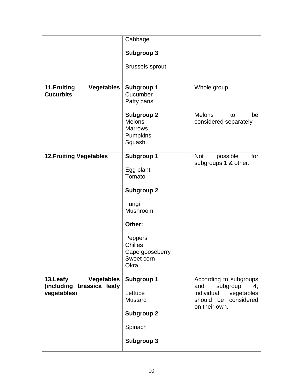|                                                                            | Cabbage                                                                                                                                                    |                                                                                                                      |
|----------------------------------------------------------------------------|------------------------------------------------------------------------------------------------------------------------------------------------------------|----------------------------------------------------------------------------------------------------------------------|
|                                                                            | <b>Subgroup 3</b>                                                                                                                                          |                                                                                                                      |
|                                                                            | <b>Brussels sprout</b>                                                                                                                                     |                                                                                                                      |
| 11.Fruiting<br><b>Vegetables</b><br><b>Cucurbits</b>                       | <b>Subgroup 1</b><br>Cucumber<br>Patty pans                                                                                                                | Whole group                                                                                                          |
|                                                                            | <b>Subgroup 2</b><br><b>Melons</b><br><b>Marrows</b><br><b>Pumpkins</b><br>Squash                                                                          | <b>Melons</b><br>to<br>be<br>considered separately                                                                   |
| <b>12. Fruiting Vegetables</b>                                             | <b>Subgroup 1</b><br>Egg plant<br>Tomato<br><b>Subgroup 2</b><br>Fungi<br>Mushroom<br>Other:<br>Peppers<br><b>Chilies</b><br>Cape gooseberry<br>Sweet corn | <b>Not</b><br>possible<br>for<br>subgroups 1 & other.                                                                |
| 13. Leafy<br><b>Vegetables</b><br>(including brassica leafy<br>vegetables) | Okra<br><b>Subgroup 1</b><br>Lettuce<br><b>Mustard</b><br><b>Subgroup 2</b><br>Spinach<br><b>Subgroup 3</b>                                                | According to subgroups<br>subgroup<br>and<br>4,<br>individual<br>vegetables<br>should be considered<br>on their own. |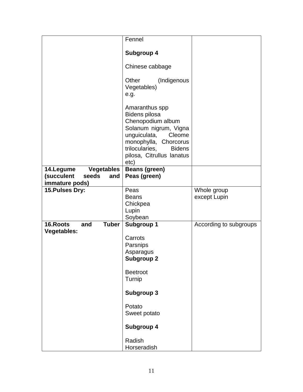|                                 | Fennel                                                                                                                                                                                                   |                        |
|---------------------------------|----------------------------------------------------------------------------------------------------------------------------------------------------------------------------------------------------------|------------------------|
|                                 |                                                                                                                                                                                                          |                        |
|                                 | <b>Subgroup 4</b>                                                                                                                                                                                        |                        |
|                                 | Chinese cabbage                                                                                                                                                                                          |                        |
|                                 | Other<br>(Indigenous<br>Vegetables)<br>e.g.                                                                                                                                                              |                        |
|                                 | Amaranthus spp<br>Bidens pilosa<br>Chenopodium album<br>Solanum nigrum, Vigna<br>unguiculata,<br>Cleome<br>monophylla, Chorcorus<br>trilocularies,<br><b>Bidens</b><br>pilosa, Citrullus lanatus<br>etc) |                        |
| <b>Vegetables</b><br>14. Legume | <b>Beans (green)</b>                                                                                                                                                                                     |                        |
| (succulent<br>seeds<br>and      | Peas (green)                                                                                                                                                                                             |                        |
| immature pods)                  |                                                                                                                                                                                                          |                        |
| 15. Pulses Dry:                 | Peas                                                                                                                                                                                                     | Whole group            |
|                                 | <b>Beans</b>                                                                                                                                                                                             | except Lupin           |
|                                 | Chickpea                                                                                                                                                                                                 |                        |
|                                 | Lupin                                                                                                                                                                                                    |                        |
| <b>Tuber</b><br>16.Roots<br>and | Soybean<br><b>Subgroup 1</b>                                                                                                                                                                             | According to subgroups |
| <b>Vegetables:</b>              |                                                                                                                                                                                                          |                        |
|                                 | Carrots                                                                                                                                                                                                  |                        |
|                                 | Parsnips                                                                                                                                                                                                 |                        |
|                                 | Asparagus                                                                                                                                                                                                |                        |
|                                 | <b>Subgroup 2</b>                                                                                                                                                                                        |                        |
|                                 |                                                                                                                                                                                                          |                        |
|                                 | <b>Beetroot</b>                                                                                                                                                                                          |                        |
|                                 | Turnip                                                                                                                                                                                                   |                        |
|                                 | <b>Subgroup 3</b>                                                                                                                                                                                        |                        |
|                                 | Potato                                                                                                                                                                                                   |                        |
|                                 | Sweet potato                                                                                                                                                                                             |                        |
|                                 | <b>Subgroup 4</b>                                                                                                                                                                                        |                        |
|                                 | Radish                                                                                                                                                                                                   |                        |
|                                 | Horseradish                                                                                                                                                                                              |                        |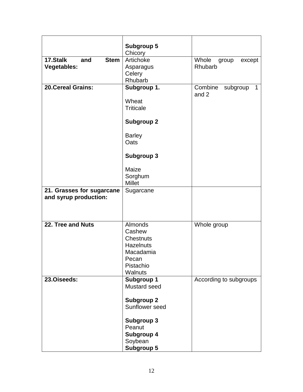|                                                      | <b>Subgroup 5</b>                                                                                                                                     |                                     |
|------------------------------------------------------|-------------------------------------------------------------------------------------------------------------------------------------------------------|-------------------------------------|
|                                                      | Chicory                                                                                                                                               |                                     |
| 17.Stalk<br>and<br><b>Stem</b><br><b>Vegetables:</b> | Artichoke<br>Asparagus<br>Celery<br>Rhubarb                                                                                                           | Whole<br>group<br>except<br>Rhubarb |
| <b>20. Cereal Grains:</b>                            | Subgroup 1.                                                                                                                                           | Combine<br>subgroup<br>1            |
|                                                      | Wheat<br><b>Triticale</b><br><b>Subgroup 2</b><br><b>Barley</b><br>Oats<br><b>Subgroup 3</b><br>Maize<br>Sorghum                                      | and 2                               |
|                                                      | <b>Millet</b>                                                                                                                                         |                                     |
| 21. Grasses for sugarcane<br>and syrup production:   | Sugarcane                                                                                                                                             |                                     |
| 22. Tree and Nuts                                    | <b>Almonds</b><br>Cashew<br><b>Chestnuts</b><br><b>Hazelnuts</b><br>Macadamia<br>Pecan<br>Pistachio<br>Walnuts                                        | Whole group                         |
| 23.Oiseeds:                                          | <b>Subgroup 1</b><br>Mustard seed<br><b>Subgroup 2</b><br>Sunflower seed<br><b>Subgroup 3</b><br>Peanut<br><b>Subgroup 4</b><br>Soybean<br>Subgroup 5 | According to subgroups              |